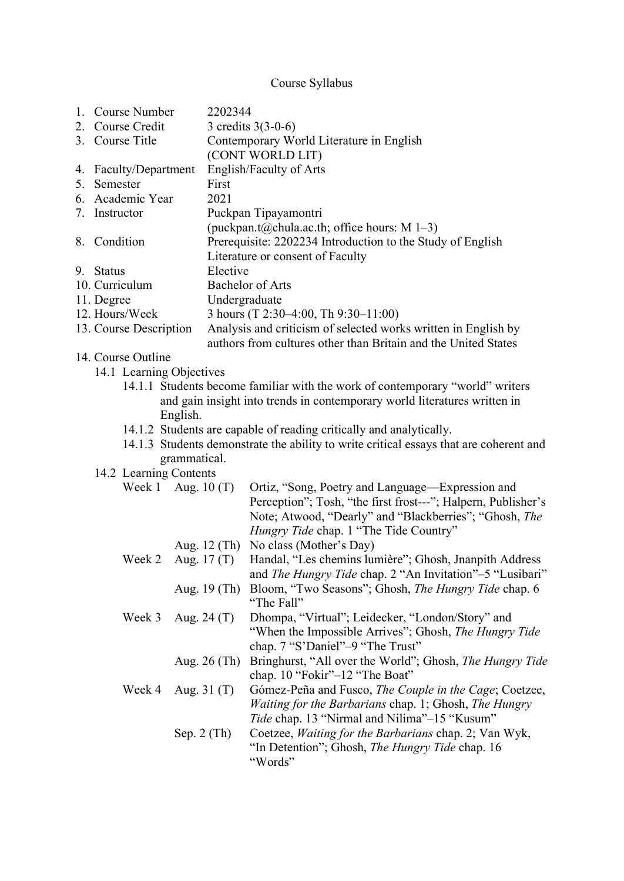## Course Syllabus

|  |                       | 1. Course Number       |                          | 2202344                                                                                                                                                                                                               |  |  |  |  |
|--|-----------------------|------------------------|--------------------------|-----------------------------------------------------------------------------------------------------------------------------------------------------------------------------------------------------------------------|--|--|--|--|
|  |                       | 2. Course Credit       |                          | 3 credits $3(3-0-6)$                                                                                                                                                                                                  |  |  |  |  |
|  | 3. Course Title       |                        |                          | Contemporary World Literature in English<br>(CONT WORLD LIT)                                                                                                                                                          |  |  |  |  |
|  | 4. Faculty/Department |                        |                          | English/Faculty of Arts                                                                                                                                                                                               |  |  |  |  |
|  | 5. Semester           |                        | First                    |                                                                                                                                                                                                                       |  |  |  |  |
|  |                       | 6. Academic Year       | 2021                     |                                                                                                                                                                                                                       |  |  |  |  |
|  | 7. Instructor         |                        |                          | Puckpan Tipayamontri                                                                                                                                                                                                  |  |  |  |  |
|  |                       |                        |                          | (puckpan.t@chula.ac.th; office hours: $M$ 1-3)                                                                                                                                                                        |  |  |  |  |
|  | 8. Condition          |                        |                          | Prerequisite: 2202234 Introduction to the Study of English                                                                                                                                                            |  |  |  |  |
|  |                       |                        |                          | Literature or consent of Faculty                                                                                                                                                                                      |  |  |  |  |
|  | 9. Status             |                        |                          | Elective                                                                                                                                                                                                              |  |  |  |  |
|  |                       | 10. Curriculum         |                          | <b>Bachelor of Arts</b>                                                                                                                                                                                               |  |  |  |  |
|  | 11. Degree            |                        |                          | Undergraduate                                                                                                                                                                                                         |  |  |  |  |
|  |                       | 12. Hours/Week         |                          | 3 hours (T 2:30–4:00, Th 9:30–11:00)                                                                                                                                                                                  |  |  |  |  |
|  |                       | 13. Course Description |                          | Analysis and criticism of selected works written in English by<br>authors from cultures other than Britain and the United States                                                                                      |  |  |  |  |
|  |                       | 14. Course Outline     |                          |                                                                                                                                                                                                                       |  |  |  |  |
|  |                       |                        | 14.1 Learning Objectives |                                                                                                                                                                                                                       |  |  |  |  |
|  |                       |                        |                          | 14.1.1 Students become familiar with the work of contemporary "world" writers                                                                                                                                         |  |  |  |  |
|  |                       |                        |                          | and gain insight into trends in contemporary world literatures written in                                                                                                                                             |  |  |  |  |
|  |                       |                        | English.                 |                                                                                                                                                                                                                       |  |  |  |  |
|  |                       |                        |                          | 14.1.2 Students are capable of reading critically and analytically.                                                                                                                                                   |  |  |  |  |
|  |                       |                        |                          | 14.1.3 Students demonstrate the ability to write critical essays that are coherent and                                                                                                                                |  |  |  |  |
|  |                       |                        | grammatical.             |                                                                                                                                                                                                                       |  |  |  |  |
|  |                       |                        | 14.2 Learning Contents   |                                                                                                                                                                                                                       |  |  |  |  |
|  |                       |                        | Week 1 Aug. $10(T)$      | Ortiz, "Song, Poetry and Language—Expression and<br>Perception"; Tosh, "the first frost---"; Halpern, Publisher's<br>Note; Atwood, "Dearly" and "Blackberries"; "Ghosh, The<br>Hungry Tide chap. 1 "The Tide Country" |  |  |  |  |
|  |                       |                        |                          | Aug. 12 (Th) No class (Mother's Day)                                                                                                                                                                                  |  |  |  |  |
|  |                       | Week 2                 | Aug. $17(T)$             | Handal, "Les chemins lumière"; Ghosh, Jnanpith Address<br>and The Hungry Tide chap. 2 "An Invitation"-5 "Lusibari"                                                                                                    |  |  |  |  |
|  |                       |                        | Aug. $19$ (Th)           | Bloom, "Two Seasons"; Ghosh, The Hungry Tide chap. 6<br>"The Fall"                                                                                                                                                    |  |  |  |  |
|  |                       | Week 3                 | Aug. $24(T)$             | Dhompa, "Virtual"; Leidecker, "London/Story" and<br>"When the Impossible Arrives"; Ghosh, The Hungry Tide<br>chap. 7 "S'Daniel"-9 "The Trust"                                                                         |  |  |  |  |
|  |                       |                        | Aug. $26$ (Th)           | Bringhurst, "All over the World"; Ghosh, The Hungry Tide<br>chap. 10 "Fokir"-12 "The Boat"                                                                                                                            |  |  |  |  |
|  |                       | Week 4                 | Aug. $31(T)$             | Gómez-Peña and Fusco, The Couple in the Cage; Coetzee,<br><i>Waiting for the Barbarians chap. 1; Ghosh, The Hungry</i><br>Tide chap. 13 "Nirmal and Nilima"-15 "Kusum"                                                |  |  |  |  |
|  |                       |                        | Sep. $2$ (Th)            | Coetzee, <i>Waiting for the Barbarians</i> chap. 2; Van Wyk,<br>"In Detention"; Ghosh, <i>The Hungry Tide</i> chap. 16<br>"Words"                                                                                     |  |  |  |  |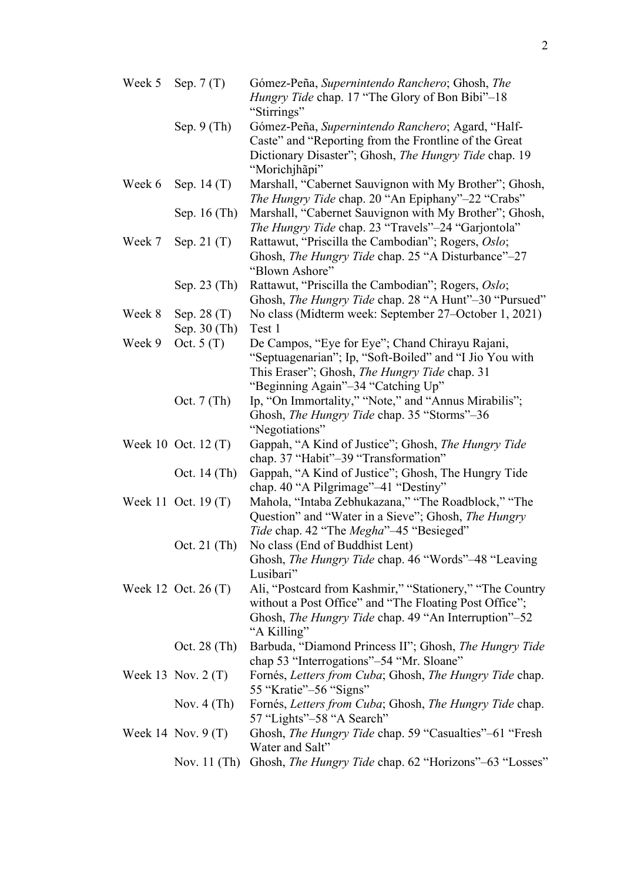| Week 5 | Sep. $7(T)$           | Gómez-Peña, Supernintendo Ranchero; Ghosh, The<br><i>Hungry Tide</i> chap. 17 "The Glory of Bon Bibi"–18 |  |
|--------|-----------------------|----------------------------------------------------------------------------------------------------------|--|
|        |                       | "Stirrings"                                                                                              |  |
|        | Sep. $9$ (Th)         | Gómez-Peña, Supernintendo Ranchero; Agard, "Half-                                                        |  |
|        |                       | Caste" and "Reporting from the Frontline of the Great                                                    |  |
|        |                       | Dictionary Disaster"; Ghosh, The Hungry Tide chap. 19                                                    |  |
|        |                       | "Morichjhãpi"                                                                                            |  |
| Week 6 | Sep. 14 (T)           | Marshall, "Cabernet Sauvignon with My Brother"; Ghosh,                                                   |  |
|        |                       | The Hungry Tide chap. 20 "An Epiphany"-22 "Crabs"                                                        |  |
|        |                       |                                                                                                          |  |
|        | Sep. 16 (Th)          | Marshall, "Cabernet Sauvignon with My Brother"; Ghosh,                                                   |  |
|        |                       | The Hungry Tide chap. 23 "Travels"-24 "Garjontola"                                                       |  |
| Week 7 | Sep. 21 (T)           | Rattawut, "Priscilla the Cambodian"; Rogers, Oslo;                                                       |  |
|        |                       | Ghosh, The Hungry Tide chap. 25 "A Disturbance"-27                                                       |  |
|        |                       | "Blown Ashore"                                                                                           |  |
|        | Sep. 23 (Th)          | Rattawut, "Priscilla the Cambodian"; Rogers, Oslo;                                                       |  |
|        |                       | Ghosh, The Hungry Tide chap. 28 "A Hunt"-30 "Pursued"                                                    |  |
| Week 8 | Sep. 28 (T)           | No class (Midterm week: September 27–October 1, 2021)                                                    |  |
|        | Sep. 30 (Th)          | Test 1                                                                                                   |  |
| Week 9 | Oct. $5(T)$           | De Campos, "Eye for Eye"; Chand Chirayu Rajani,                                                          |  |
|        |                       | "Septuagenarian"; Ip, "Soft-Boiled" and "I Jio You with                                                  |  |
|        |                       | This Eraser"; Ghosh, The Hungry Tide chap. 31                                                            |  |
|        |                       | "Beginning Again"-34 "Catching Up"                                                                       |  |
|        | Oct. $7$ (Th)         | Ip, "On Immortality," "Note," and "Annus Mirabilis";                                                     |  |
|        |                       | Ghosh, <i>The Hungry Tide</i> chap. 35 "Storms"-36                                                       |  |
|        |                       | "Negotiations"                                                                                           |  |
|        | Week 10 Oct. 12 (T)   | Gappah, "A Kind of Justice"; Ghosh, The Hungry Tide                                                      |  |
|        |                       | chap. 37 "Habit"-39 "Transformation"                                                                     |  |
|        | Oct. $14$ (Th)        | Gappah, "A Kind of Justice"; Ghosh, The Hungry Tide                                                      |  |
|        |                       | chap. 40 "A Pilgrimage"-41 "Destiny"                                                                     |  |
|        | Week 11 Oct. 19 (T)   | Mahola, "Intaba Zebhukazana," "The Roadblock," "The                                                      |  |
|        |                       | Question" and "Water in a Sieve"; Ghosh, The Hungry                                                      |  |
|        |                       | Tide chap. 42 "The Megha"-45 "Besieged"                                                                  |  |
|        | Oct. 21 $(Th)$        | No class (End of Buddhist Lent)                                                                          |  |
|        |                       | Ghosh, The Hungry Tide chap. 46 "Words"-48 "Leaving                                                      |  |
|        |                       | Lusibari"                                                                                                |  |
|        | Week 12 Oct. 26 $(T)$ | Ali, "Postcard from Kashmir," "Stationery," "The Country                                                 |  |
|        |                       | without a Post Office" and "The Floating Post Office";                                                   |  |
|        |                       | Ghosh, <i>The Hungry Tide</i> chap. 49 "An Interruption"–52                                              |  |
|        |                       | "A Killing"                                                                                              |  |
|        | Oct. $28$ (Th)        | Barbuda, "Diamond Princess II"; Ghosh, The Hungry Tide                                                   |  |
|        |                       | chap 53 "Interrogations"–54 "Mr. Sloane"                                                                 |  |
|        | Week 13 Nov. $2(T)$   | Fornés, Letters from Cuba; Ghosh, The Hungry Tide chap.                                                  |  |
|        |                       | 55 "Kratie"–56 "Signs"                                                                                   |  |
|        | Nov. $4$ (Th)         | Fornés, Letters from Cuba; Ghosh, The Hungry Tide chap.                                                  |  |
|        |                       | 57 "Lights"–58 "A Search"                                                                                |  |
|        | Week 14 Nov. $9(T)$   | Ghosh, The Hungry Tide chap. 59 "Casualties"–61 "Fresh                                                   |  |
|        |                       | Water and Salt"                                                                                          |  |
|        | Nov. $11$ (Th)        | Ghosh, The Hungry Tide chap. 62 "Horizons"–63 "Losses"                                                   |  |
|        |                       |                                                                                                          |  |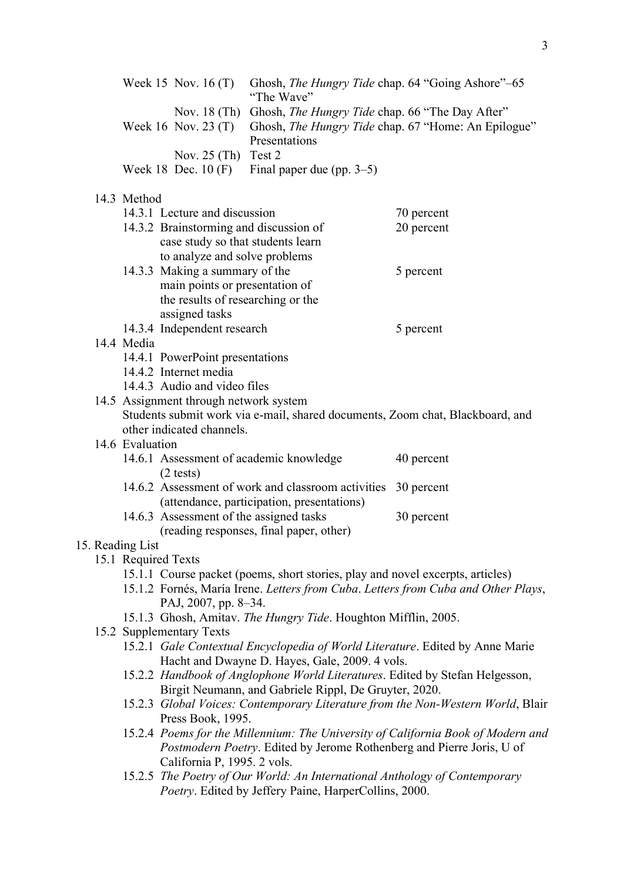|                  |                                                                                                                                                                             | Week 15 Nov. $16(T)$                     | "The Wave"                                                                    | Ghosh, <i>The Hungry Tide</i> chap. 64 "Going Ashore"–65                         |  |  |  |  |
|------------------|-----------------------------------------------------------------------------------------------------------------------------------------------------------------------------|------------------------------------------|-------------------------------------------------------------------------------|----------------------------------------------------------------------------------|--|--|--|--|
|                  |                                                                                                                                                                             | Nov. $18$ (Th)<br>Week $16$ Nov. $23(T)$ | Ghosh, The Hungry Tide chap. 66 "The Day After"<br>Presentations              | Ghosh, The Hungry Tide chap. 67 "Home: An Epilogue"                              |  |  |  |  |
|                  |                                                                                                                                                                             | Nov. $25$ (Th) Test 2                    |                                                                               |                                                                                  |  |  |  |  |
|                  |                                                                                                                                                                             | Week 18 Dec. $10(F)$                     | Final paper due (pp. $3-5$ )                                                  |                                                                                  |  |  |  |  |
|                  | 14.3 Method                                                                                                                                                                 |                                          |                                                                               |                                                                                  |  |  |  |  |
|                  |                                                                                                                                                                             | 14.3.1 Lecture and discussion            |                                                                               | 70 percent                                                                       |  |  |  |  |
|                  |                                                                                                                                                                             | 14.3.2 Brainstorming and discussion of   |                                                                               | 20 percent                                                                       |  |  |  |  |
|                  |                                                                                                                                                                             | case study so that students learn        |                                                                               |                                                                                  |  |  |  |  |
|                  |                                                                                                                                                                             | to analyze and solve problems            |                                                                               |                                                                                  |  |  |  |  |
|                  |                                                                                                                                                                             | 14.3.3 Making a summary of the           |                                                                               | 5 percent                                                                        |  |  |  |  |
|                  |                                                                                                                                                                             | main points or presentation of           |                                                                               |                                                                                  |  |  |  |  |
|                  |                                                                                                                                                                             |                                          | the results of researching or the                                             |                                                                                  |  |  |  |  |
|                  |                                                                                                                                                                             | assigned tasks                           |                                                                               |                                                                                  |  |  |  |  |
|                  |                                                                                                                                                                             | 14.3.4 Independent research              |                                                                               | 5 percent                                                                        |  |  |  |  |
|                  | 14.4 Media<br>14.4.1 PowerPoint presentations<br>14.4.2 Internet media                                                                                                      |                                          |                                                                               |                                                                                  |  |  |  |  |
|                  |                                                                                                                                                                             |                                          |                                                                               |                                                                                  |  |  |  |  |
|                  |                                                                                                                                                                             | 14.4.3 Audio and video files             |                                                                               |                                                                                  |  |  |  |  |
|                  |                                                                                                                                                                             | 14.5 Assignment through network system   |                                                                               |                                                                                  |  |  |  |  |
|                  |                                                                                                                                                                             |                                          | Students submit work via e-mail, shared documents, Zoom chat, Blackboard, and |                                                                                  |  |  |  |  |
|                  |                                                                                                                                                                             | other indicated channels.                |                                                                               |                                                                                  |  |  |  |  |
|                  | 14.6 Evaluation                                                                                                                                                             |                                          |                                                                               |                                                                                  |  |  |  |  |
|                  |                                                                                                                                                                             |                                          | 14.6.1 Assessment of academic knowledge                                       | 40 percent                                                                       |  |  |  |  |
|                  |                                                                                                                                                                             | $(2 \text{ tests})$                      |                                                                               |                                                                                  |  |  |  |  |
|                  |                                                                                                                                                                             |                                          | 14.6.2 Assessment of work and classroom activities                            | 30 percent                                                                       |  |  |  |  |
|                  |                                                                                                                                                                             |                                          | (attendance, participation, presentations)                                    |                                                                                  |  |  |  |  |
|                  |                                                                                                                                                                             | 14.6.3 Assessment of the assigned tasks  |                                                                               | 30 percent                                                                       |  |  |  |  |
|                  |                                                                                                                                                                             |                                          | (reading responses, final paper, other)                                       |                                                                                  |  |  |  |  |
| 15. Reading List |                                                                                                                                                                             |                                          |                                                                               |                                                                                  |  |  |  |  |
|                  |                                                                                                                                                                             | 15.1 Required Texts                      |                                                                               |                                                                                  |  |  |  |  |
|                  | 15.1.1 Course packet (poems, short stories, play and novel excerpts, articles)                                                                                              |                                          |                                                                               |                                                                                  |  |  |  |  |
|                  | 15.1.2 Fornés, María Irene. Letters from Cuba. Letters from Cuba and Other Plays,<br>PAJ, 2007, pp. 8–34.<br>15.1.3 Ghosh, Amitav. The Hungry Tide. Houghton Mifflin, 2005. |                                          |                                                                               |                                                                                  |  |  |  |  |
|                  |                                                                                                                                                                             |                                          |                                                                               |                                                                                  |  |  |  |  |
|                  |                                                                                                                                                                             | 15.2 Supplementary Texts                 |                                                                               |                                                                                  |  |  |  |  |
|                  |                                                                                                                                                                             |                                          | 15.2.1 Gale Contextual Encyclopedia of World Literature. Edited by Anne Marie |                                                                                  |  |  |  |  |
|                  |                                                                                                                                                                             |                                          | Hacht and Dwayne D. Hayes, Gale, 2009. 4 vols.                                |                                                                                  |  |  |  |  |
|                  |                                                                                                                                                                             |                                          | 15.2.2 Handbook of Anglophone World Literatures. Edited by Stefan Helgesson,  |                                                                                  |  |  |  |  |
|                  | Birgit Neumann, and Gabriele Rippl, De Gruyter, 2020.                                                                                                                       |                                          |                                                                               |                                                                                  |  |  |  |  |
|                  |                                                                                                                                                                             |                                          |                                                                               | 15.2.3 Global Voices: Contemporary Literature from the Non-Western World, Blair  |  |  |  |  |
|                  |                                                                                                                                                                             |                                          |                                                                               |                                                                                  |  |  |  |  |
|                  |                                                                                                                                                                             | Press Book, 1995.                        |                                                                               | 15.2.4 Poems for the Millennium: The University of California Book of Modern and |  |  |  |  |
|                  | Postmodern Poetry. Edited by Jerome Rothenberg and Pierre Joris, U of                                                                                                       |                                          |                                                                               |                                                                                  |  |  |  |  |
|                  | California P, 1995. 2 vols.<br>15.2.5 The Poetry of Our World: An International Anthology of Contemporary<br>Poetry. Edited by Jeffery Paine, HarperCollins, 2000.          |                                          |                                                                               |                                                                                  |  |  |  |  |
|                  |                                                                                                                                                                             |                                          |                                                                               |                                                                                  |  |  |  |  |
|                  |                                                                                                                                                                             |                                          |                                                                               |                                                                                  |  |  |  |  |